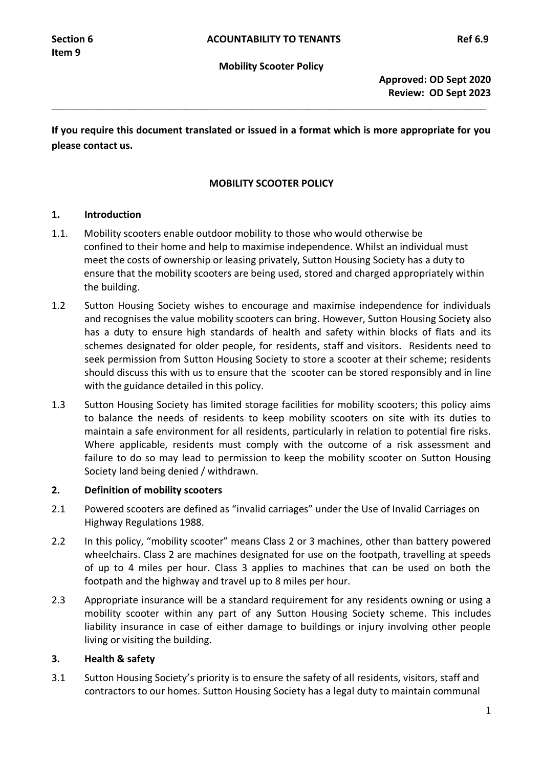**\_\_\_\_\_\_\_\_\_\_\_\_\_\_\_\_\_\_\_\_\_\_\_\_\_\_\_\_\_\_\_\_\_\_\_\_\_\_\_\_\_\_\_\_\_\_\_\_\_\_\_\_\_\_\_\_\_\_\_\_\_\_\_\_\_\_\_\_\_\_\_\_\_\_\_\_\_\_**

**If you require this document translated or issued in a format which is more appropriate for you please contact us.**

# **MOBILITY SCOOTER POLICY**

## **1. Introduction**

- 1.1. Mobility scooters enable outdoor mobility to those who would otherwise be confined to their home and help to maximise independence. Whilst an individual must meet the costs of ownership or leasing privately, Sutton Housing Society has a duty to ensure that the mobility scooters are being used, stored and charged appropriately within the building.
- 1.2 Sutton Housing Society wishes to encourage and maximise independence for individuals and recognises the value mobility scooters can bring. However, Sutton Housing Society also has a duty to ensure high standards of health and safety within blocks of flats and its schemes designated for older people, for residents, staff and visitors. Residents need to seek permission from Sutton Housing Society to store a scooter at their scheme; residents should discuss this with us to ensure that the scooter can be stored responsibly and in line with the guidance detailed in this policy.
- 1.3 Sutton Housing Society has limited storage facilities for mobility scooters; this policy aims to balance the needs of residents to keep mobility scooters on site with its duties to maintain a safe environment for all residents, particularly in relation to potential fire risks. Where applicable, residents must comply with the outcome of a risk assessment and failure to do so may lead to permission to keep the mobility scooter on Sutton Housing Society land being denied / withdrawn.

## **2. Definition of mobility scooters**

- 2.1 Powered scooters are defined as "invalid carriages" under the Use of Invalid Carriages on Highway Regulations 1988.
- 2.2 In this policy, "mobility scooter" means Class 2 or 3 machines, other than battery powered wheelchairs. Class 2 are machines designated for use on the footpath, travelling at speeds of up to 4 miles per hour. Class 3 applies to machines that can be used on both the footpath and the highway and travel up to 8 miles per hour.
- 2.3 Appropriate insurance will be a standard requirement for any residents owning or using a mobility scooter within any part of any Sutton Housing Society scheme. This includes liability insurance in case of either damage to buildings or injury involving other people living or visiting the building.

# **3. Health & safety**

3.1 Sutton Housing Society's priority is to ensure the safety of all residents, visitors, staff and contractors to our homes. Sutton Housing Society has a legal duty to maintain communal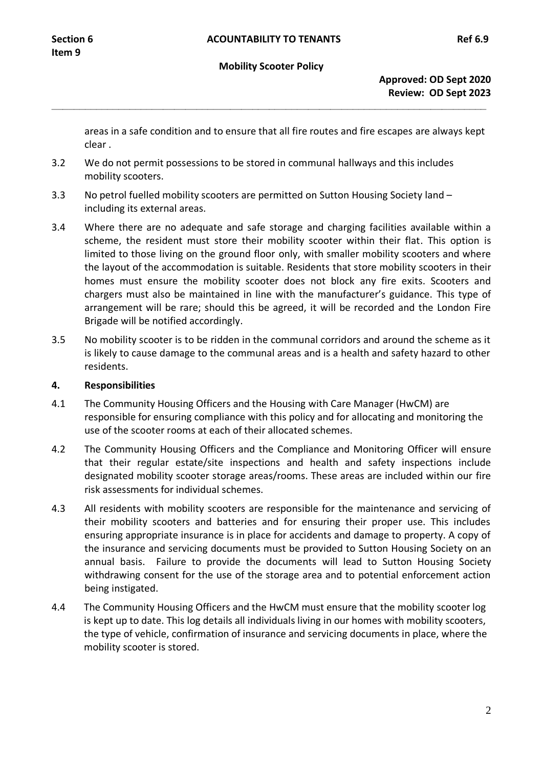#### **Mobility Scooter Policy**

**\_\_\_\_\_\_\_\_\_\_\_\_\_\_\_\_\_\_\_\_\_\_\_\_\_\_\_\_\_\_\_\_\_\_\_\_\_\_\_\_\_\_\_\_\_\_\_\_\_\_\_\_\_\_\_\_\_\_\_\_\_\_\_\_\_\_\_\_\_\_\_\_\_\_\_\_\_\_**

**Approved: OD Sept 2020 Review: OD Sept 2023**

areas in a safe condition and to ensure that all fire routes and fire escapes are always kept clear .

- 3.2 We do not permit possessions to be stored in communal hallways and this includes mobility scooters.
- 3.3 No petrol fuelled mobility scooters are permitted on Sutton Housing Society land including its external areas.
- 3.4 Where there are no adequate and safe storage and charging facilities available within a scheme, the resident must store their mobility scooter within their flat. This option is limited to those living on the ground floor only, with smaller mobility scooters and where the layout of the accommodation is suitable. Residents that store mobility scooters in their homes must ensure the mobility scooter does not block any fire exits. Scooters and chargers must also be maintained in line with the manufacturer's guidance. This type of arrangement will be rare; should this be agreed, it will be recorded and the London Fire Brigade will be notified accordingly.
- 3.5 No mobility scooter is to be ridden in the communal corridors and around the scheme as it is likely to cause damage to the communal areas and is a health and safety hazard to other residents.

#### **4. Responsibilities**

- 4.1 The Community Housing Officers and the Housing with Care Manager (HwCM) are responsible for ensuring compliance with this policy and for allocating and monitoring the use of the scooter rooms at each of their allocated schemes.
- 4.2 The Community Housing Officers and the Compliance and Monitoring Officer will ensure that their regular estate/site inspections and health and safety inspections include designated mobility scooter storage areas/rooms. These areas are included within our fire risk assessments for individual schemes.
- 4.3 All residents with mobility scooters are responsible for the maintenance and servicing of their mobility scooters and batteries and for ensuring their proper use. This includes ensuring appropriate insurance is in place for accidents and damage to property. A copy of the insurance and servicing documents must be provided to Sutton Housing Society on an annual basis. Failure to provide the documents will lead to Sutton Housing Society withdrawing consent for the use of the storage area and to potential enforcement action being instigated.
- 4.4 The Community Housing Officers and the HwCM must ensure that the mobility scooter log is kept up to date. This log details all individuals living in our homes with mobility scooters, the type of vehicle, confirmation of insurance and servicing documents in place, where the mobility scooter is stored.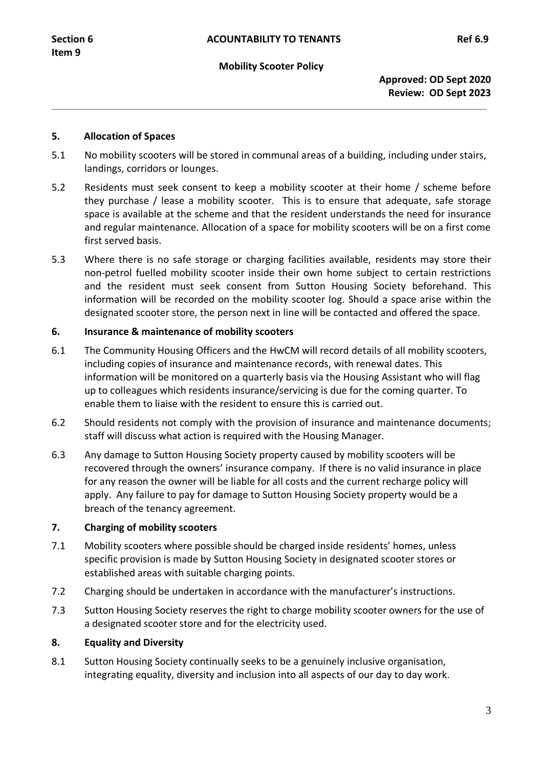#### **Mobility Scooter Policy**

**\_\_\_\_\_\_\_\_\_\_\_\_\_\_\_\_\_\_\_\_\_\_\_\_\_\_\_\_\_\_\_\_\_\_\_\_\_\_\_\_\_\_\_\_\_\_\_\_\_\_\_\_\_\_\_\_\_\_\_\_\_\_\_\_\_\_\_\_\_\_\_\_\_\_\_\_\_\_**

## **5. Allocation of Spaces**

- 5.1 No mobility scooters will be stored in communal areas of a building, including under stairs, landings, corridors or lounges.
- 5.2 Residents must seek consent to keep a mobility scooter at their home / scheme before they purchase / lease a mobility scooter. This is to ensure that adequate, safe storage space is available at the scheme and that the resident understands the need for insurance and regular maintenance. Allocation of a space for mobility scooters will be on a first come first served basis.
- 5.3 Where there is no safe storage or charging facilities available, residents may store their non-petrol fuelled mobility scooter inside their own home subject to certain restrictions and the resident must seek consent from Sutton Housing Society beforehand. This information will be recorded on the mobility scooter log. Should a space arise within the designated scooter store, the person next in line will be contacted and offered the space.

## **6. Insurance & maintenance of mobility scooters**

- 6.1 The Community Housing Officers and the HwCM will record details of all mobility scooters, including copies of insurance and maintenance records, with renewal dates. This information will be monitored on a quarterly basis via the Housing Assistant who will flag up to colleagues which residents insurance/servicing is due for the coming quarter. To enable them to liaise with the resident to ensure this is carried out.
- 6.2 Should residents not comply with the provision of insurance and maintenance documents; staff will discuss what action is required with the Housing Manager.
- 6.3 Any damage to Sutton Housing Society property caused by mobility scooters will be recovered through the owners' insurance company. If there is no valid insurance in place for any reason the owner will be liable for all costs and the current recharge policy will apply. Any failure to pay for damage to Sutton Housing Society property would be a breach of the tenancy agreement.

## **7. Charging of mobility scooters**

- 7.1 Mobility scooters where possible should be charged inside residents' homes, unless specific provision is made by Sutton Housing Society in designated scooter stores or established areas with suitable charging points.
- 7.2 Charging should be undertaken in accordance with the manufacturer's instructions.
- 7.3 Sutton Housing Society reserves the right to charge mobility scooter owners for the use of a designated scooter store and for the electricity used.

## **8. Equality and Diversity**

8.1 Sutton Housing Society continually seeks to be a genuinely inclusive organisation, integrating equality, diversity and inclusion into all aspects of our day to day work.